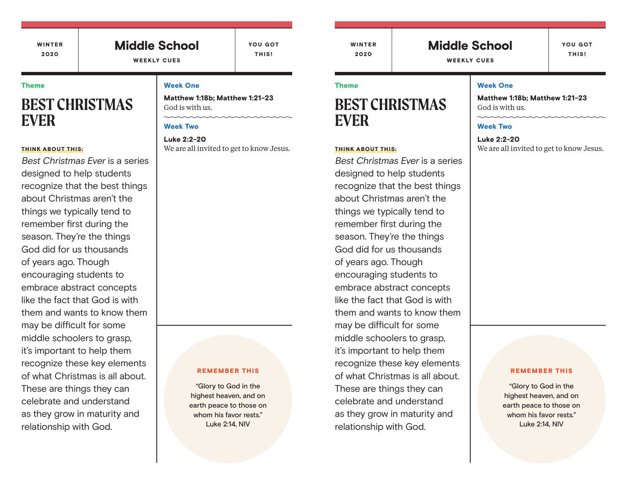# Middle School

YOU GOT THIS!

WEEKLY CUES

#### Theme

# **BEST CHRISTMAS EVER**

#### THINK ABOUT THIS:

Best Christmas Ever is a series designed to help students recognize that the best things about Christmas aren't the things we typically tend to remember first during the season. They're the things God did for us thousands of years ago. Though encouraging students to embrace abstract concepts like the fact that God is with them and wants to know them may be difficult for some middle schoolers to grasp, it's important to help them recognize these key elements of what Christmas is all about. These are things they can celebrate and understand as they grow in maturity and relationship with God.

#### Week One

Matthew 1:18b; Matthew 1:21-23 God is with us.

### Week Two

Luke 2:2-20 We are all invited to get to know Jesus.

#### REMEMBER THIS

"Glory to God in the highest heaven, and on earth peace to those on whom his favor rests." Luke 2:14, NIV